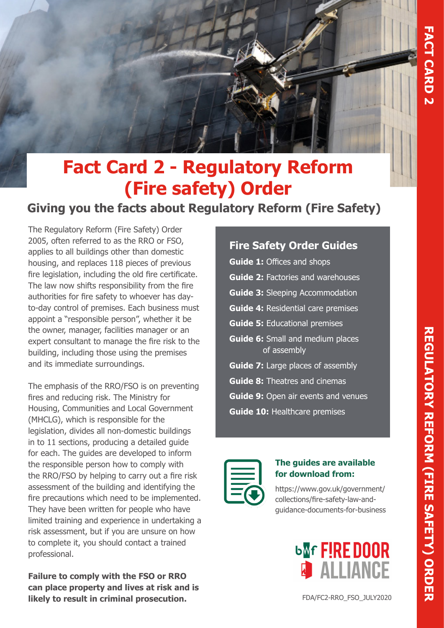

# **Fact Card 2 - Regulatory Reform (Fire safety) Order**

# **Giving you the facts about Regulatory Reform (Fire Safety)**

The Regulatory Reform (Fire Safety) Order 2005, often referred to as the RRO or FSO, applies to all buildings other than domestic housing, and replaces 118 pieces of previous fire legislation, including the old fire certificate. The law now shifts responsibility from the fire authorities for fire safety to whoever has dayto-day control of premises. Each business must appoint a "responsible person", whether it be the owner, manager, facilities manager or an expert consultant to manage the fire risk to the building, including those using the premises and its immediate surroundings.

The emphasis of the RRO/FSO is on preventing fires and reducing risk. The Ministry for Housing, Communities and Local Government (MHCLG), which is responsible for the legislation, divides all non-domestic buildings in to 11 sections, producing a detailed guide for each. The guides are developed to inform the responsible person how to comply with the RRO/FSO by helping to carry out a fire risk assessment of the building and identifying the fire precautions which need to be implemented. They have been written for people who have limited training and experience in undertaking a risk assessment, but if you are unsure on how to complete it, you should contact a trained professional.

**Failure to comply with the FSO or RRO can place property and lives at risk and is likely to result in criminal prosecution.**

# **Fire Safety Order Guides**

**Guide 1:** Offices and shops **Guide 2:** Factories and warehouses **Guide 3:** Sleeping Accommodation **Guide 4:** Residential care premises **Guide 5:** Educational premises **Guide 6:** Small and medium places of assembly **Guide 7:** Large places of assembly **Guide 8:** Theatres and cinemas **Guide 9:** Open air events and venues **Guide 10:** Healthcare premises



#### **The guides are available for download from:**

https://www.gov.uk/government/ collections/fire-safety-law-andguidance-documents-for-business

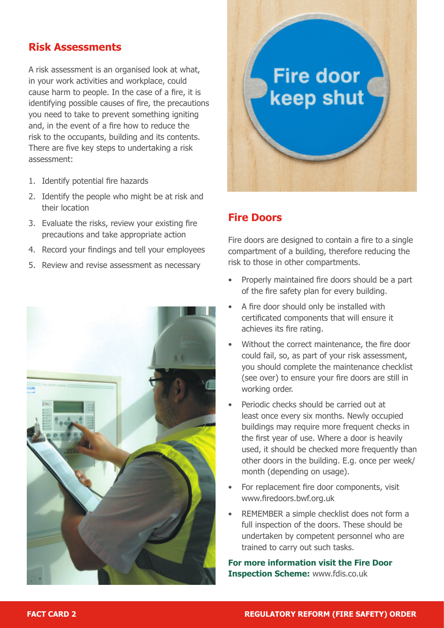# **Risk Assessments**

A risk assessment is an organised look at what, in your work activities and workplace, could cause harm to people. In the case of a fire, it is identifying possible causes of fire, the precautions you need to take to prevent something igniting and, in the event of a fire how to reduce the risk to the occupants, building and its contents. There are five key steps to undertaking a risk assessment:

- 1. Identify potential fire hazards
- 2. Identify the people who might be at risk and their location
- 3. Evaluate the risks, review your existing fire precautions and take appropriate action
- 4. Record your findings and tell your employees
- 5. Review and revise assessment as necessary





## **Fire Doors**

Fire doors are designed to contain a fire to a single compartment of a building, therefore reducing the risk to those in other compartments.

- Properly maintained fire doors should be a part of the fire safety plan for every building.
- A fire door should only be installed with certificated components that will ensure it achieves its fire rating.
- Without the correct maintenance, the fire door could fail, so, as part of your risk assessment, you should complete the maintenance checklist (see over) to ensure your fire doors are still in working order.
- Periodic checks should be carried out at least once every six months. Newly occupied buildings may require more frequent checks in the first year of use. Where a door is heavily used, it should be checked more frequently than other doors in the building. E.g. once per week/ month (depending on usage).
- For replacement fire door components, visit www.firedoors.bwf.org.uk
- REMEMBER a simple checklist does not form a full inspection of the doors. These should be undertaken by competent personnel who are trained to carry out such tasks.

**For more information visit the Fire Door Inspection Scheme:** www.fdis.co.uk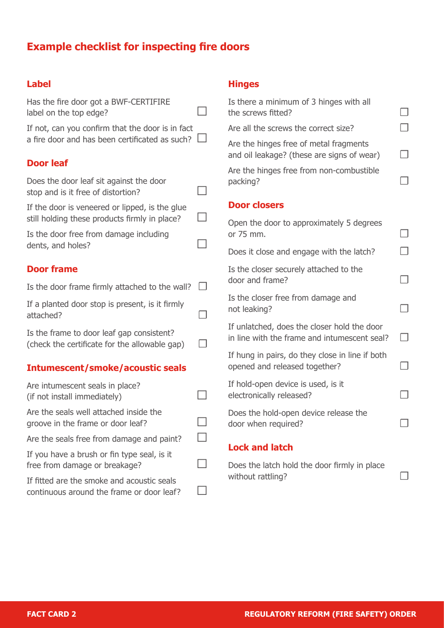# **Example checklist for inspecting fire doors**

#### **Label**

Has the fire door got a BWF-CERTIFIRE label on the top edge?  $\Box$ 

If not, can you confirm that the door is in fact a fire door and has been certificated as such?  $\Box$ 

## **Door leaf**

Does the door leaf sit against the door stop and is it free of distortion?  $\Box$ 

If the door is veneered or lipped, is the glue still holding these products firmly in place?  $\Box$ 

Is the door free from damage including dents, and holes?  $\Box$ 

#### **Door frame**

| Is the door frame firmly attached to the wall? $\square$     |        |
|--------------------------------------------------------------|--------|
| If a planted door stop is present, is it firmly<br>attached? | $\Box$ |
| Is the frame to door leaf gap consistent?                    |        |

(check the certificate for the allowable gap)  $\Box$ 

#### **Intumescent/smoke/acoustic seals**

| Are intumescent seals in place?<br>(if not install immediately)                         |  |
|-----------------------------------------------------------------------------------------|--|
| Are the seals well attached inside the<br>groove in the frame or door leaf?             |  |
| Are the seals free from damage and paint?                                               |  |
| If you have a brush or fin type seal, is it<br>free from damage or breakage?            |  |
| If fitted are the smoke and acoustic seals<br>continuous around the frame or door leaf? |  |

#### **Hinges**

| Is there a minimum of 3 hinges with all<br>the screws fitted?                               |               |
|---------------------------------------------------------------------------------------------|---------------|
| Are all the screws the correct size?                                                        |               |
| Are the hinges free of metal fragments<br>and oil leakage? (these are signs of wear)        |               |
| Are the hinges free from non-combustible<br>packing?                                        |               |
| <b>Door closers</b>                                                                         |               |
| Open the door to approximately 5 degrees<br>or 75 mm.                                       |               |
| Does it close and engage with the latch?                                                    |               |
| Is the closer securely attached to the<br>door and frame?                                   |               |
| Is the closer free from damage and<br>not leaking?                                          |               |
| If unlatched, does the closer hold the door<br>in line with the frame and intumescent seal? | $\mathcal{A}$ |
| If hung in pairs, do they close in line if both<br>opened and released together?            |               |
| If hold-open device is used, is it<br>electronically released?                              |               |
| Does the hold-open device release the<br>door when required?                                |               |
| <b>Lock and latch</b>                                                                       |               |

# Does the latch hold the door firmly in place without rattling?  $\Box$